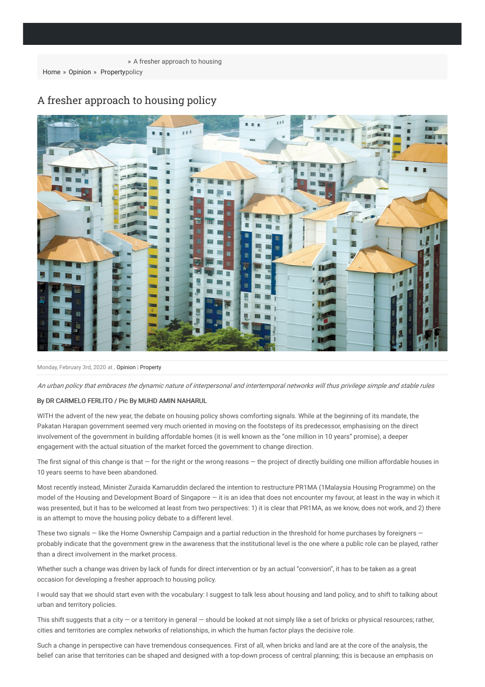[Home](https://themalaysianreserve.com) » [Opinion](https://themalaysianreserve.com/category/opinion/) » [Property](https://themalaysianreserve.com/category/property/) policy



## A fresher approach to housing policy

Monday, February 3rd, 2020 at , [Opinion](https://themalaysianreserve.com/category/opinion/) | [Property](https://themalaysianreserve.com/category/property/)

An urban policy that embraces the dynamic nature of interpersonal and intertemporal networks will thus privilege simple and stable rules

## By DR CARMELO FERLITO / Pic By MUHD AMIN NAHARUL

WITH the advent of the new year, the debate on housing policy shows comforting signals. While at the beginning of its mandate, the Pakatan Harapan government seemed very much oriented in moving on the footsteps of its predecessor, emphasising on the direct involvement of the government in building affordable homes (it is well known as the "one million in 10 years" promise), a deeper engagement with the actual situation of the market forced the government to change direction.

The first signal of this change is that  $-$  for the right or the wrong reasons  $-$  the project of directly building one million affordable houses in 10 years seems to have been abandoned.

Most recently instead, Minister Zuraida Kamaruddin declared the intention to restructure PR1MA (1Malaysia Housing Programme) on the model of the Housing and Development Board of Singapore — it is an idea that does not encounter my favour, at least in the way in which it was presented, but it has to be welcomed at least from two perspectives: 1) it is clear that PR1MA, as we know, does not work, and 2) there is an attempt to move the housing policy debate to a different level.

These two signals – like the Home Ownership Campaign and a partial reduction in the threshold for home purchases by foreigners – probably indicate that the government grew in the awareness that the institutional level is the one where a public role can be played, rather than a direct involvement in the market process.

Whether such a change was driven by lack of funds for direct intervention or by an actual "conversion", it has to be taken as a great occasion for developing a fresher approach to housing policy.

I would say that we should start even with the vocabulary: I suggest to talk less about housing and land policy, and to shift to talking about urban and territory policies.

This shift suggests that a city — or a territory in general — should be looked at not simply like a set of bricks or physical resources; rather, cities and territories are complex networks of relationships, in which the human factor plays the decisive role.

Such a change in perspective can have tremendous consequences. First of all, when bricks and land are at the core of the analysis, the belief can arise that territories can be shaped and designed with a top-down process of central planning; this is because an emphasis on